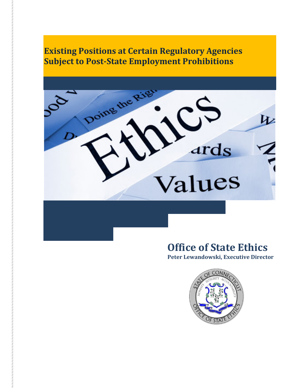

## **Office of State Ethics**

**Peter Lewandowski, Executive Director**

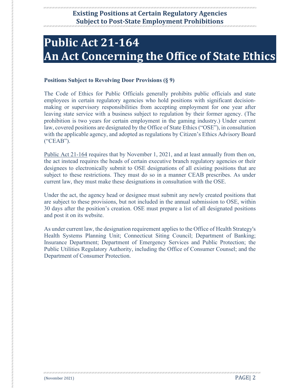# **Public Act 21-164 An Act Concerning the Office of State Ethics**

#### **Positions Subject to Revolving Door Provisions (§ 9)**

The Code of Ethics for Public Officials generally prohibits public officials and state employees in certain regulatory agencies who hold positions with significant decisionmaking or supervisory responsibilities from accepting employment for one year after leaving state service with a business subject to regulation by their former agency. (The prohibition is two years for certain employment in the gaming industry.) Under current law, covered positions are designated by the Office of State Ethics ("OSE"), in consultation with the applicable agency, and adopted as regulations by Citizen's Ethics Advisory Board ("CEAB").

[Public Act 21-164](https://www.cga.ct.gov/asp/cgabillstatus/cgabillstatus.asp?selBillType=Public+Act&which_year=2021&bill_num=164) requires that by November 1, 2021, and at least annually from then on, the act instead requires the heads of certain executive branch regulatory agencies or their designees to electronically submit to OSE designations of all existing positions that are subject to these restrictions. They must do so in a manner CEAB prescribes. As under current law, they must make these designations in consultation with the OSE.

Under the act, the agency head or designee must submit any newly created positions that are subject to these provisions, but not included in the annual submission to OSE, within 30 days after the position's creation. OSE must prepare a list of all designated positions and post it on its website.

As under current law, the designation requirement applies to the Office of Health Strategy's Health Systems Planning Unit; Connecticut Siting Council; Department of Banking; Insurance Department; Department of Emergency Services and Public Protection; the Public Utilities Regulatory Authority, including the Office of Consumer Counsel; and the Department of Consumer Protection.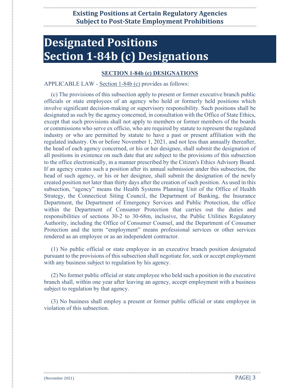# **Designated Positions Section 1-84b (c) Designations**

#### **[SECTION 1-84b \(c\) DESIGNATIONS](https://search.cga.state.ct.us/sur/chap_010.htm#sec_1-84b)**

#### APPLICABLE LAW - [Section 1-84b \(c\)](https://search.cga.state.ct.us/sur/chap_010.htm#sec_1-84b) provides as follows:

(c) The provisions of this subsection apply to present or former executive branch public officials or state employees of an agency who hold or formerly held positions which involve significant decision-making or supervisory responsibility. Such positions shall be designated as such by the agency concerned, in consultation with the Office of State Ethics, except that such provisions shall not apply to members or former members of the boards or commissions who serve ex officio, who are required by statute to represent the regulated industry or who are permitted by statute to have a past or present affiliation with the regulated industry. On or before November 1, 2021, and not less than annually thereafter, the head of each agency concerned, or his or her designee, shall submit the designation of all positions in existence on such date that are subject to the provisions of this subsection to the office electronically, in a manner prescribed by the Citizen's Ethics Advisory Board. If an agency creates such a position after its annual submission under this subsection, the head of such agency, or his or her designee, shall submit the designation of the newly created position not later than thirty days after the creation of such position. As used in this subsection, "agency" means the Health Systems Planning Unit of the Office of Health Strategy, the Connecticut Siting Council, the Department of Banking, the Insurance Department, the Department of Emergency Services and Public Protection, the office within the Department of Consumer Protection that carries out the duties and responsibilities of sections 30-2 to 30-68m, inclusive, the Public Utilities Regulatory Authority, including the Office of Consumer Counsel, and the Department of Consumer Protection and the term "employment" means professional services or other services rendered as an employee or as an independent contractor.

(1) No public official or state employee in an executive branch position designated pursuant to the provisions of this subsection shall negotiate for, seek or accept employment with any business subject to regulation by his agency.

(2) No former public official or state employee who held such a position in the executive branch shall, within one year after leaving an agency, accept employment with a business subject to regulation by that agency.

(3) No business shall employ a present or former public official or state employee in violation of this subsection.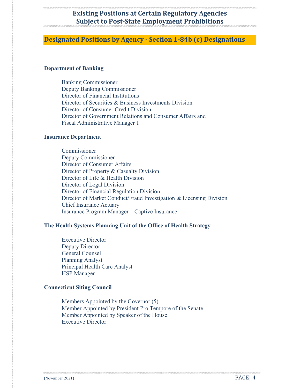#### **Designated Positions by Agency - Section 1-84b (c) Designations**

#### **Department of Banking**

Banking Commissioner Deputy Banking Commissioner Director of Financial Institutions Director of Securities & Business Investments Division Director of Consumer Credit Division Director of Government Relations and Consumer Affairs and Fiscal Administrative Manager 1

#### **Insurance Department**

Commissioner Deputy Commissioner Director of Consumer Affairs Director of Property & Casualty Division Director of Life & Health Division Director of Legal Division Director of Financial Regulation Division Director of Market Conduct/Fraud Investigation & Licensing Division Chief Insurance Actuary Insurance Program Manager – Captive Insurance

#### **The Health Systems Planning Unit of the Office of Health Strategy**

Executive Director Deputy Director General Counsel Planning Analyst Principal Health Care Analyst HSP Manager

#### **Connecticut Siting Council**

Members Appointed by the Governor (5) Member Appointed by President Pro Tempore of the Senate Member Appointed by Speaker of the House Executive Director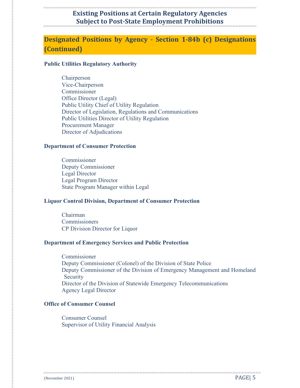## **Designated Positions by Agency - Section 1-84b (c) Designations (Continued)**

#### **Public Utilities Regulatory Authority**

Chairperson Vice‐Chairperson Commissioner Office Director (Legal) Public Utility Chief of Utility Regulation Director of Legislation, Regulations and Communications Public Utilities Director of Utility Regulation Procurement Manager Director of Adjudications

#### **Department of Consumer Protection**

Commissioner Deputy Commissioner Legal Director Legal Program Director State Program Manager within Legal

#### **Liquor Control Division, Department of Consumer Protection**

Chairman Commissioners CP Division Director for Liquor

#### **Department of Emergency Services and Public Protection**

**Commissioner** Deputy Commissioner (Colonel) of the Division of State Police Deputy Commissioner of the Division of Emergency Management and Homeland **Security** Director of the Division of Statewide Emergency Telecommunications Agency Legal Director

#### **Office of Consumer Counsel**

Consumer Counsel Supervisor of Utility Financial Analysis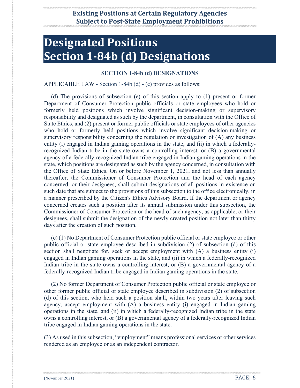# **Designated Positions Section 1-84b (d) Designations**

#### **[SECTION 1-84b \(d\) DESIGNATIONS](https://search.cga.state.ct.us/sur/chap_010.htm#sec_1-84b)**

#### APPLICABLE LAW - [Section 1-84b \(d\) -](https://search.cga.state.ct.us/sur/chap_010.htm#sec_1-84b) (e) provides as follows:

(d) The provisions of subsection (e) of this section apply to (1) present or former Department of Consumer Protection public officials or state employees who hold or formerly held positions which involve significant decision-making or supervisory responsibility and designated as such by the department, in consultation with the Office of State Ethics, and (2) present or former public officials or state employees of other agencies who hold or formerly held positions which involve significant decision-making or supervisory responsibility concerning the regulation or investigation of (A) any business entity (i) engaged in Indian gaming operations in the state, and (ii) in which a federallyrecognized Indian tribe in the state owns a controlling interest, or (B) a governmental agency of a federally-recognized Indian tribe engaged in Indian gaming operations in the state, which positions are designated as such by the agency concerned, in consultation with the Office of State Ethics. On or before November 1, 2021, and not less than annually thereafter, the Commissioner of Consumer Protection and the head of each agency concerned, or their designees, shall submit designations of all positions in existence on such date that are subject to the provisions of this subsection to the office electronically, in a manner prescribed by the Citizen's Ethics Advisory Board. If the department or agency concerned creates such a position after its annual submission under this subsection, the Commissioner of Consumer Protection or the head of such agency, as applicable, or their designees, shall submit the designation of the newly created position not later than thirty days after the creation of such position.

(e) (1) No Department of Consumer Protection public official or state employee or other public official or state employee described in subdivision (2) of subsection (d) of this section shall negotiate for, seek or accept employment with (A) a business entity (i) engaged in Indian gaming operations in the state, and (ii) in which a federally-recognized Indian tribe in the state owns a controlling interest, or (B) a governmental agency of a federally-recognized Indian tribe engaged in Indian gaming operations in the state.

(2) No former Department of Consumer Protection public official or state employee or other former public official or state employee described in subdivision (2) of subsection (d) of this section, who held such a position shall, within two years after leaving such agency, accept employment with (A) a business entity (i) engaged in Indian gaming operations in the state, and (ii) in which a federally-recognized Indian tribe in the state owns a controlling interest, or (B) a governmental agency of a federally-recognized Indian tribe engaged in Indian gaming operations in the state.

(3) As used in this subsection, "employment" means professional services or other services rendered as an employee or as an independent contractor.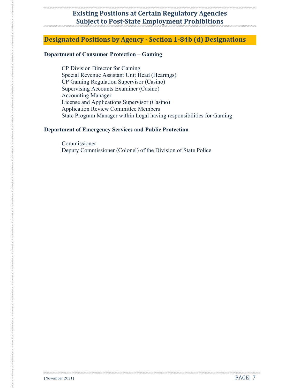#### **Designated Positions by Agency - Section 1-84b (d) Designations**

#### **Department of Consumer Protection – Gaming**

CP Division Director for Gaming Special Revenue Assistant Unit Head (Hearings) CP Gaming Regulation Supervisor (Casino) Supervising Accounts Examiner (Casino) Accounting Manager License and Applications Supervisor (Casino) Application Review Committee Members State Program Manager within Legal having responsibilities for Gaming

#### **Department of Emergency Services and Public Protection**

Commissioner Deputy Commissioner (Colonel) of the Division of State Police